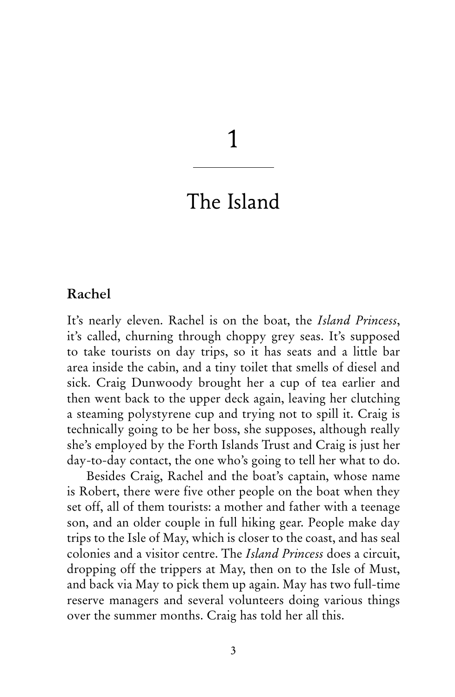1

# The Island

#### **Rachel**

It's nearly eleven. Rachel is on the boat, the *Island Princess*, it's called, churning through choppy grey seas. It's supposed to take tourists on day trips, so it has seats and a little bar area inside the cabin, and a tiny toilet that smells of diesel and sick. Craig Dunwoody brought her a cup of tea earlier and then went back to the upper deck again, leaving her clutching a steaming polystyrene cup and trying not to spill it. Craig is technically going to be her boss, she supposes, although really she's employed by the Forth Islands Trust and Craig is just her day-to-day contact, the one who's going to tell her what to do.

Besides Craig, Rachel and the boat's captain, whose name is Robert, there were five other people on the boat when they set off, all of them tourists: a mother and father with a teenage son, and an older couple in full hiking gear. People make day trips to the Isle of May, which is closer to the coast, and has seal colonies and a visitor centre. The *Island Princess* does a circuit, dropping off the trippers at May, then on to the Isle of Must, and back via May to pick them up again. May has two full-time reserve managers and several volunteers doing various things over the summer months. Craig has told her all this.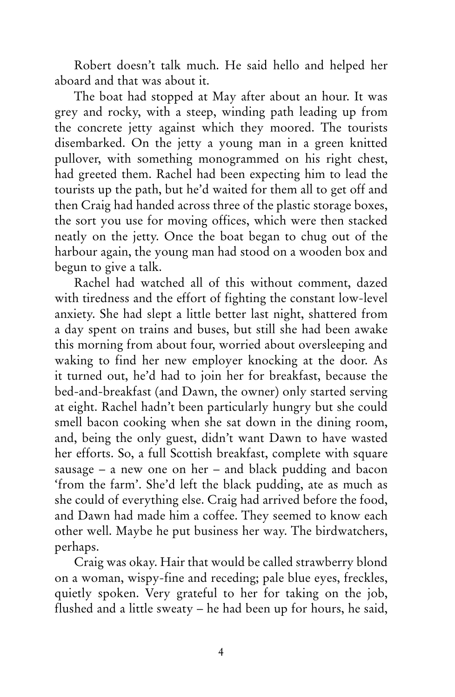Robert doesn't talk much. He said hello and helped her aboard and that was about it.

The boat had stopped at May after about an hour. It was grey and rocky, with a steep, winding path leading up from the concrete jetty against which they moored. The tourists disembarked. On the jetty a young man in a green knitted pullover, with something monogrammed on his right chest, had greeted them. Rachel had been expecting him to lead the tourists up the path, but he'd waited for them all to get off and then Craig had handed across three of the plastic storage boxes, the sort you use for moving offices, which were then stacked neatly on the jetty. Once the boat began to chug out of the harbour again, the young man had stood on a wooden box and begun to give a talk.

Rachel had watched all of this without comment, dazed with tiredness and the effort of fighting the constant low-level anxiety. She had slept a little better last night, shattered from a day spent on trains and buses, but still she had been awake this morning from about four, worried about oversleeping and waking to find her new employer knocking at the door. As it turned out, he'd had to join her for breakfast, because the bed-and-breakfast (and Dawn, the owner) only started serving at eight. Rachel hadn't been particularly hungry but she could smell bacon cooking when she sat down in the dining room, and, being the only guest, didn't want Dawn to have wasted her efforts. So, a full Scottish breakfast, complete with square sausage – a new one on her – and black pudding and bacon 'from the farm'. She'd left the black pudding, ate as much as she could of everything else. Craig had arrived before the food, and Dawn had made him a coffee. They seemed to know each other well. Maybe he put business her way. The birdwatchers, perhaps.

Craig was okay. Hair that would be called strawberry blond on a woman, wispy-fine and receding; pale blue eyes, freckles, quietly spoken. Very grateful to her for taking on the job, flushed and a little sweaty – he had been up for hours, he said,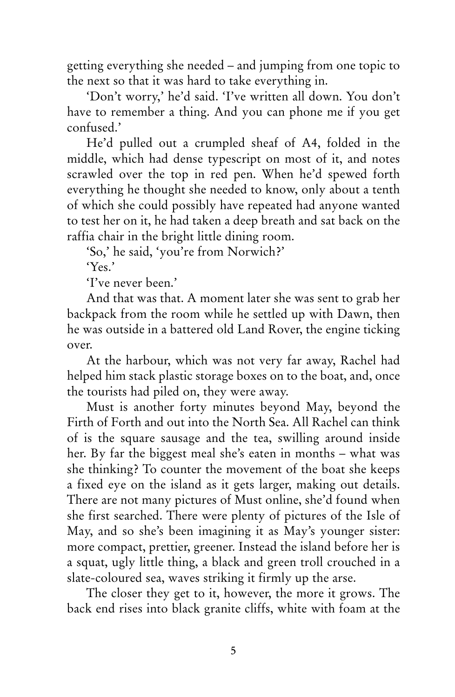getting everything she needed – and jumping from one topic to the next so that it was hard to take everything in.

'Don't worry,' he'd said. 'I've written all down. You don't have to remember a thing. And you can phone me if you get confused.'

He'd pulled out a crumpled sheaf of A4, folded in the middle, which had dense typescript on most of it, and notes scrawled over the top in red pen. When he'd spewed forth everything he thought she needed to know, only about a tenth of which she could possibly have repeated had anyone wanted to test her on it, he had taken a deep breath and sat back on the raffia chair in the bright little dining room.

'So,' he said, 'you're from Norwich?'

'Yes.'

'I've never been.'

And that was that. A moment later she was sent to grab her backpack from the room while he settled up with Dawn, then he was outside in a battered old Land Rover, the engine ticking over.

At the harbour, which was not very far away, Rachel had helped him stack plastic storage boxes on to the boat, and, once the tourists had piled on, they were away.

Must is another forty minutes beyond May, beyond the Firth of Forth and out into the North Sea. All Rachel can think of is the square sausage and the tea, swilling around inside her. By far the biggest meal she's eaten in months – what was she thinking? To counter the movement of the boat she keeps a fixed eye on the island as it gets larger, making out details. There are not many pictures of Must online, she'd found when she first searched. There were plenty of pictures of the Isle of May, and so she's been imagining it as May's younger sister: more compact, prettier, greener. Instead the island before her is a squat, ugly little thing, a black and green troll crouched in a slate-coloured sea, waves striking it firmly up the arse.

The closer they get to it, however, the more it grows. The back end rises into black granite cliffs, white with foam at the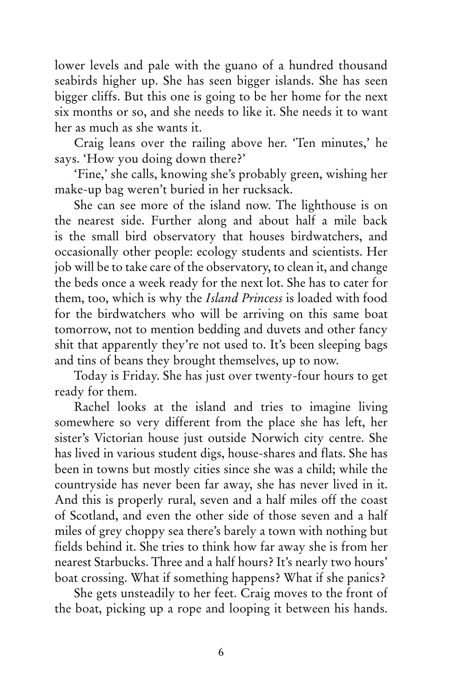lower levels and pale with the guano of a hundred thousand seabirds higher up. She has seen bigger islands. She has seen bigger cliffs. But this one is going to be her home for the next six months or so, and she needs to like it. She needs it to want her as much as she wants it.

Craig leans over the railing above her. 'Ten minutes,' he says. 'How you doing down there?'

'Fine,' she calls, knowing she's probably green, wishing her make-up bag weren't buried in her rucksack.

She can see more of the island now. The lighthouse is on the nearest side. Further along and about half a mile back is the small bird observatory that houses birdwatchers, and occasionally other people: ecology students and scientists. Her job will be to take care of the observatory, to clean it, and change the beds once a week ready for the next lot. She has to cater for them, too, which is why the *Island Princess* is loaded with food for the birdwatchers who will be arriving on this same boat tomorrow, not to mention bedding and duvets and other fancy shit that apparently they're not used to. It's been sleeping bags and tins of beans they brought themselves, up to now.

Today is Friday. She has just over twenty-four hours to get ready for them.

Rachel looks at the island and tries to imagine living somewhere so very different from the place she has left, her sister's Victorian house just outside Norwich city centre. She has lived in various student digs, house-shares and flats. She has been in towns but mostly cities since she was a child; while the countryside has never been far away, she has never lived in it. And this is properly rural, seven and a half miles off the coast of Scotland, and even the other side of those seven and a half miles of grey choppy sea there's barely a town with nothing but fields behind it. She tries to think how far away she is from her nearest Starbucks. Three and a half hours? It's nearly two hours' boat crossing. What if something happens? What if she panics?

She gets unsteadily to her feet. Craig moves to the front of the boat, picking up a rope and looping it between his hands.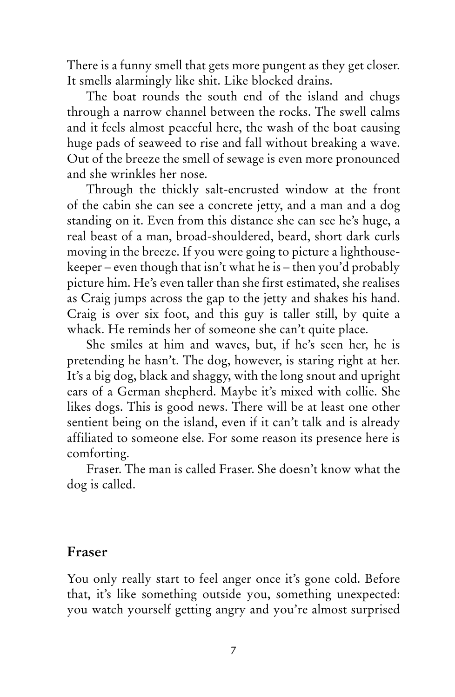There is a funny smell that gets more pungent as they get closer. It smells alarmingly like shit. Like blocked drains.

The boat rounds the south end of the island and chugs through a narrow channel between the rocks. The swell calms and it feels almost peaceful here, the wash of the boat causing huge pads of seaweed to rise and fall without breaking a wave. Out of the breeze the smell of sewage is even more pronounced and she wrinkles her nose.

Through the thickly salt-encrusted window at the front of the cabin she can see a concrete jetty, and a man and a dog standing on it. Even from this distance she can see he's huge, a real beast of a man, broad-shouldered, beard, short dark curls moving in the breeze. If you were going to picture a lighthousekeeper – even though that isn't what he is – then you'd probably picture him. He's even taller than she first estimated, she realises as Craig jumps across the gap to the jetty and shakes his hand. Craig is over six foot, and this guy is taller still, by quite a whack. He reminds her of someone she can't quite place.

She smiles at him and waves, but, if he's seen her, he is pretending he hasn't. The dog, however, is staring right at her. It's a big dog, black and shaggy, with the long snout and upright ears of a German shepherd. Maybe it's mixed with collie. She likes dogs. This is good news. There will be at least one other sentient being on the island, even if it can't talk and is already affiliated to someone else. For some reason its presence here is comforting.

Fraser. The man is called Fraser. She doesn't know what the dog is called.

### **Fraser**

You only really start to feel anger once it's gone cold. Before that, it's like something outside you, something unexpected: you watch yourself getting angry and you're almost surprised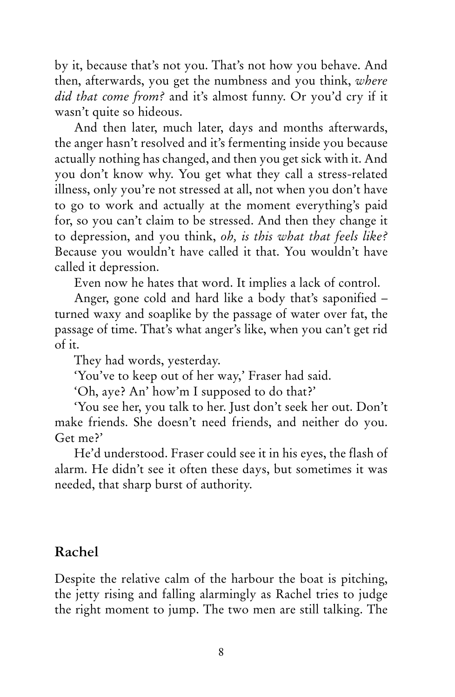by it, because that's not you. That's not how you behave. And then, afterwards, you get the numbness and you think, *where did that come from?* and it's almost funny. Or you'd cry if it wasn't quite so hideous.

And then later, much later, days and months afterwards, the anger hasn't resolved and it's fermenting inside you because actually nothing has changed, and then you get sick with it. And you don't know why. You get what they call a stress-related illness, only you're not stressed at all, not when you don't have to go to work and actually at the moment everything's paid for, so you can't claim to be stressed. And then they change it to depression, and you think, *oh, is this what that feels like?* Because you wouldn't have called it that. You wouldn't have called it depression.

Even now he hates that word. It implies a lack of control.

Anger, gone cold and hard like a body that's saponified – turned waxy and soaplike by the passage of water over fat, the passage of time. That's what anger's like, when you can't get rid of it.

They had words, yesterday.

'You've to keep out of her way,' Fraser had said.

'Oh, aye? An' how'm I supposed to do that?'

'You see her, you talk to her. Just don't seek her out. Don't make friends. She doesn't need friends, and neither do you. Get me?'

He'd understood. Fraser could see it in his eyes, the flash of alarm. He didn't see it often these days, but sometimes it was needed, that sharp burst of authority.

## **Rachel**

Despite the relative calm of the harbour the boat is pitching, the jetty rising and falling alarmingly as Rachel tries to judge the right moment to jump. The two men are still talking. The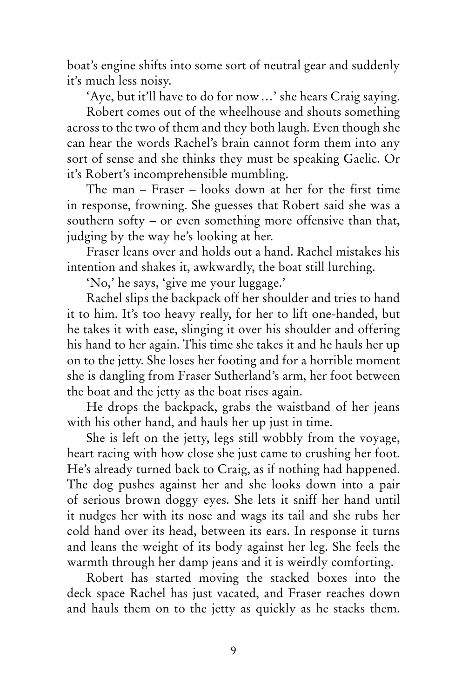boat's engine shifts into some sort of neutral gear and suddenly it's much less noisy.

'Aye, but it'll have to do for now…' she hears Craig saying. Robert comes out of the wheelhouse and shouts something across to the two of them and they both laugh. Even though she can hear the words Rachel's brain cannot form them into any sort of sense and she thinks they must be speaking Gaelic. Or it's Robert's incomprehensible mumbling.

The man – Fraser – looks down at her for the first time in response, frowning. She guesses that Robert said she was a southern softy – or even something more offensive than that, judging by the way he's looking at her.

Fraser leans over and holds out a hand. Rachel mistakes his intention and shakes it, awkwardly, the boat still lurching.

'No,' he says, 'give me your luggage.'

Rachel slips the backpack off her shoulder and tries to hand it to him. It's too heavy really, for her to lift one-handed, but he takes it with ease, slinging it over his shoulder and offering his hand to her again. This time she takes it and he hauls her up on to the jetty. She loses her footing and for a horrible moment she is dangling from Fraser Sutherland's arm, her foot between the boat and the jetty as the boat rises again.

He drops the backpack, grabs the waistband of her jeans with his other hand, and hauls her up just in time.

She is left on the jetty, legs still wobbly from the voyage, heart racing with how close she just came to crushing her foot. He's already turned back to Craig, as if nothing had happened. The dog pushes against her and she looks down into a pair of serious brown doggy eyes. She lets it sniff her hand until it nudges her with its nose and wags its tail and she rubs her cold hand over its head, between its ears. In response it turns and leans the weight of its body against her leg. She feels the warmth through her damp jeans and it is weirdly comforting.

Robert has started moving the stacked boxes into the deck space Rachel has just vacated, and Fraser reaches down and hauls them on to the jetty as quickly as he stacks them.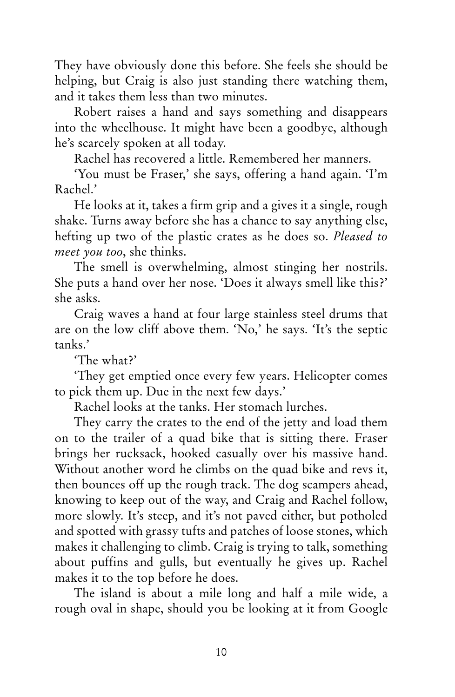They have obviously done this before. She feels she should be helping, but Craig is also just standing there watching them, and it takes them less than two minutes.

Robert raises a hand and says something and disappears into the wheelhouse. It might have been a goodbye, although he's scarcely spoken at all today.

Rachel has recovered a little. Remembered her manners.

'You must be Fraser,' she says, offering a hand again. 'I'm Rachel.'

He looks at it, takes a firm grip and a gives it a single, rough shake. Turns away before she has a chance to say anything else, hefting up two of the plastic crates as he does so. *Pleased to meet you too*, she thinks.

The smell is overwhelming, almost stinging her nostrils. She puts a hand over her nose. 'Does it always smell like this?' she asks.

Craig waves a hand at four large stainless steel drums that are on the low cliff above them. 'No,' he says. 'It's the septic tanks.'

'The what?'

'They get emptied once every few years. Helicopter comes to pick them up. Due in the next few days.'

Rachel looks at the tanks. Her stomach lurches.

They carry the crates to the end of the jetty and load them on to the trailer of a quad bike that is sitting there. Fraser brings her rucksack, hooked casually over his massive hand. Without another word he climbs on the quad bike and revs it, then bounces off up the rough track. The dog scampers ahead, knowing to keep out of the way, and Craig and Rachel follow, more slowly. It's steep, and it's not paved either, but potholed and spotted with grassy tufts and patches of loose stones, which makes it challenging to climb. Craig is trying to talk, something about puffins and gulls, but eventually he gives up. Rachel makes it to the top before he does.

The island is about a mile long and half a mile wide, a rough oval in shape, should you be looking at it from Google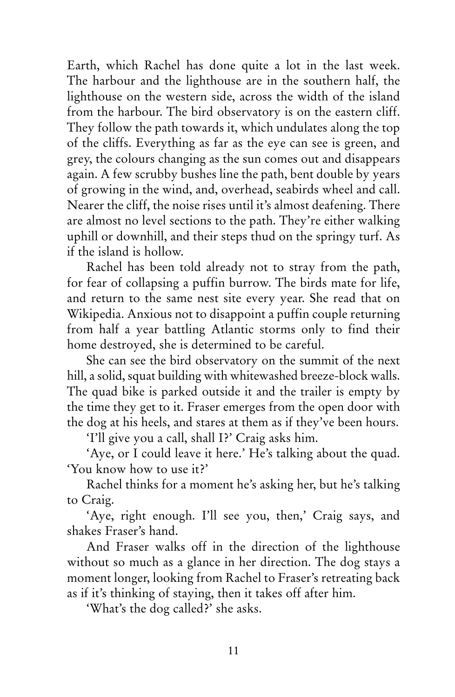Earth, which Rachel has done quite a lot in the last week. The harbour and the lighthouse are in the southern half, the lighthouse on the western side, across the width of the island from the harbour. The bird observatory is on the eastern cliff. They follow the path towards it, which undulates along the top of the cliffs. Everything as far as the eye can see is green, and grey, the colours changing as the sun comes out and disappears again. A few scrubby bushes line the path, bent double by years of growing in the wind, and, overhead, seabirds wheel and call. Nearer the cliff, the noise rises until it's almost deafening. There are almost no level sections to the path. They're either walking uphill or downhill, and their steps thud on the springy turf. As if the island is hollow.

Rachel has been told already not to stray from the path, for fear of collapsing a puffin burrow. The birds mate for life, and return to the same nest site every year. She read that on Wikipedia. Anxious not to disappoint a puffin couple returning from half a year battling Atlantic storms only to find their home destroyed, she is determined to be careful.

She can see the bird observatory on the summit of the next hill, a solid, squat building with whitewashed breeze-block walls. The quad bike is parked outside it and the trailer is empty by the time they get to it. Fraser emerges from the open door with the dog at his heels, and stares at them as if they've been hours.

'I'll give you a call, shall I?' Craig asks him.

'Aye, or I could leave it here.' He's talking about the quad. 'You know how to use it?'

Rachel thinks for a moment he's asking her, but he's talking to Craig.

'Aye, right enough. I'll see you, then,' Craig says, and shakes Fraser's hand.

And Fraser walks off in the direction of the lighthouse without so much as a glance in her direction. The dog stays a moment longer, looking from Rachel to Fraser's retreating back as if it's thinking of staying, then it takes off after him.

'What's the dog called?' she asks.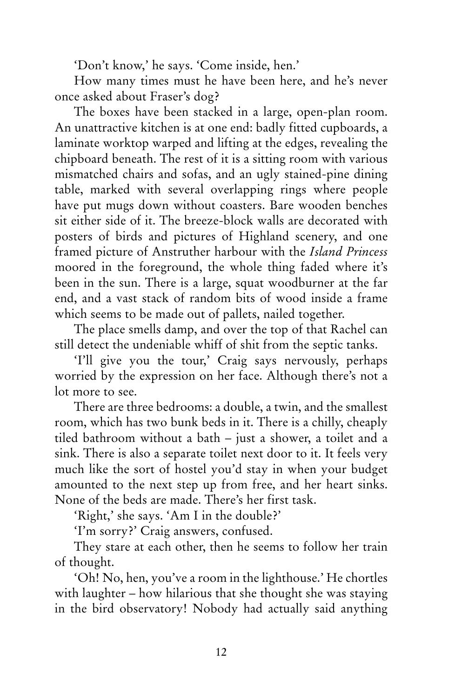'Don't know,' he says. 'Come inside, hen.'

How many times must he have been here, and he's never once asked about Fraser's dog?

The boxes have been stacked in a large, open-plan room. An unattractive kitchen is at one end: badly fitted cupboards, a laminate worktop warped and lifting at the edges, revealing the chipboard beneath. The rest of it is a sitting room with various mismatched chairs and sofas, and an ugly stained-pine dining table, marked with several overlapping rings where people have put mugs down without coasters. Bare wooden benches sit either side of it. The breeze-block walls are decorated with posters of birds and pictures of Highland scenery, and one framed picture of Anstruther harbour with the *Island Princess* moored in the foreground, the whole thing faded where it's been in the sun. There is a large, squat woodburner at the far end, and a vast stack of random bits of wood inside a frame which seems to be made out of pallets, nailed together.

The place smells damp, and over the top of that Rachel can still detect the undeniable whiff of shit from the septic tanks.

'I'll give you the tour,' Craig says nervously, perhaps worried by the expression on her face. Although there's not a lot more to see.

There are three bedrooms: a double, a twin, and the smallest room, which has two bunk beds in it. There is a chilly, cheaply tiled bathroom without a bath – just a shower, a toilet and a sink. There is also a separate toilet next door to it. It feels very much like the sort of hostel you'd stay in when your budget amounted to the next step up from free, and her heart sinks. None of the beds are made. There's her first task.

'Right,' she says. 'Am I in the double?'

'I'm sorry?' Craig answers, confused.

They stare at each other, then he seems to follow her train of thought.

'Oh! No, hen, you've a room in the lighthouse.' He chortles with laughter – how hilarious that she thought she was staying in the bird observatory! Nobody had actually said anything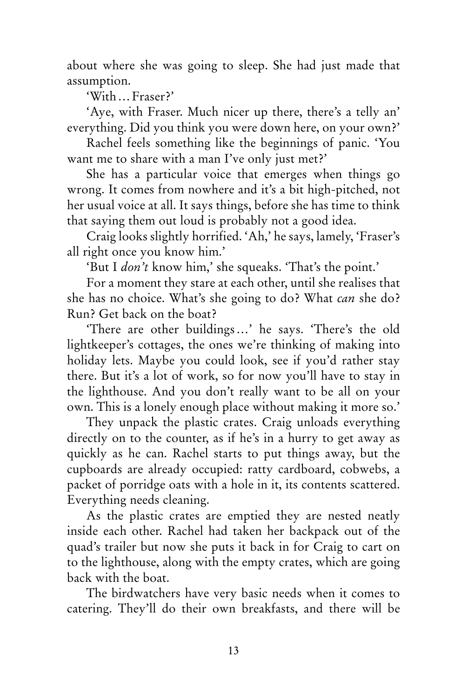about where she was going to sleep. She had just made that assumption.

'With…Fraser?'

'Aye, with Fraser. Much nicer up there, there's a telly an' everything. Did you think you were down here, on your own?'

Rachel feels something like the beginnings of panic. 'You want me to share with a man I've only just met?'

She has a particular voice that emerges when things go wrong. It comes from nowhere and it's a bit high-pitched, not her usual voice at all. It says things, before she has time to think that saying them out loud is probably not a good idea.

Craig looks slightly horrified. 'Ah,' he says, lamely, 'Fraser's all right once you know him.'

'But I *don't* know him,' she squeaks. 'That's the point.'

For a moment they stare at each other, until she realises that she has no choice. What's she going to do? What *can* she do? Run? Get back on the boat?

'There are other buildings…' he says. 'There's the old lightkeeper's cottages, the ones we're thinking of making into holiday lets. Maybe you could look, see if you'd rather stay there. But it's a lot of work, so for now you'll have to stay in the lighthouse. And you don't really want to be all on your own. This is a lonely enough place without making it more so.'

They unpack the plastic crates. Craig unloads everything directly on to the counter, as if he's in a hurry to get away as quickly as he can. Rachel starts to put things away, but the cupboards are already occupied: ratty cardboard, cobwebs, a packet of porridge oats with a hole in it, its contents scattered. Everything needs cleaning.

As the plastic crates are emptied they are nested neatly inside each other. Rachel had taken her backpack out of the quad's trailer but now she puts it back in for Craig to cart on to the lighthouse, along with the empty crates, which are going back with the boat.

The birdwatchers have very basic needs when it comes to catering. They'll do their own breakfasts, and there will be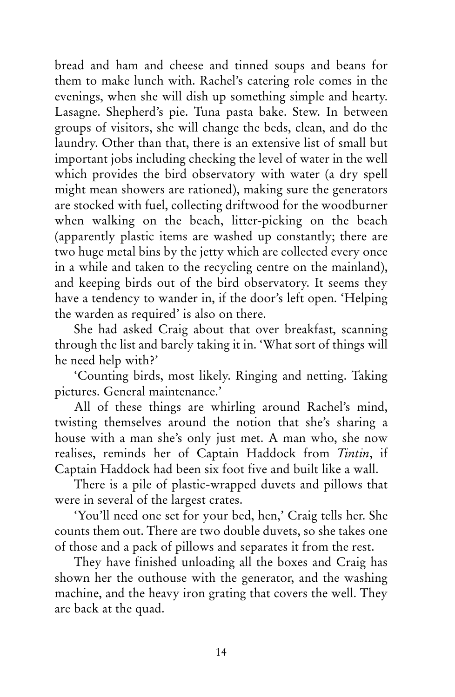bread and ham and cheese and tinned soups and beans for them to make lunch with. Rachel's catering role comes in the evenings, when she will dish up something simple and hearty. Lasagne. Shepherd's pie. Tuna pasta bake. Stew. In between groups of visitors, she will change the beds, clean, and do the laundry. Other than that, there is an extensive list of small but important jobs including checking the level of water in the well which provides the bird observatory with water (a dry spell might mean showers are rationed), making sure the generators are stocked with fuel, collecting driftwood for the woodburner when walking on the beach, litter-picking on the beach (apparently plastic items are washed up constantly; there are two huge metal bins by the jetty which are collected every once in a while and taken to the recycling centre on the mainland), and keeping birds out of the bird observatory. It seems they have a tendency to wander in, if the door's left open. 'Helping the warden as required' is also on there.

She had asked Craig about that over breakfast, scanning through the list and barely taking it in. 'What sort of things will he need help with?'

'Counting birds, most likely. Ringing and netting. Taking pictures. General maintenance.'

All of these things are whirling around Rachel's mind, twisting themselves around the notion that she's sharing a house with a man she's only just met. A man who, she now realises, reminds her of Captain Haddock from *Tintin*, if Captain Haddock had been six foot five and built like a wall.

There is a pile of plastic-wrapped duvets and pillows that were in several of the largest crates.

'You'll need one set for your bed, hen,' Craig tells her. She counts them out. There are two double duvets, so she takes one of those and a pack of pillows and separates it from the rest.

They have finished unloading all the boxes and Craig has shown her the outhouse with the generator, and the washing machine, and the heavy iron grating that covers the well. They are back at the quad.